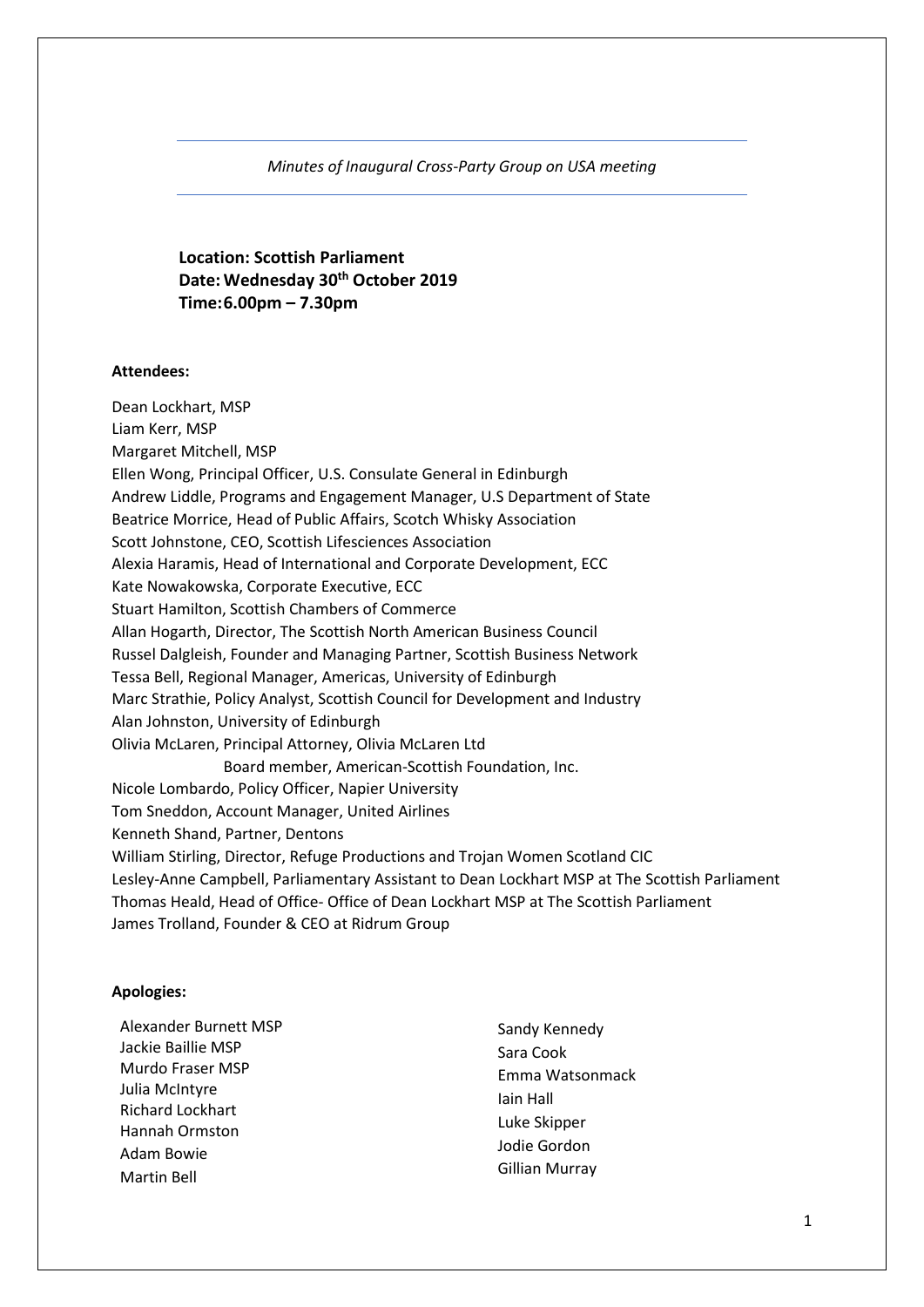### *Minutes of Inaugural Cross-Party Group on USA meeting*

**Location: Scottish Parliament Date: Wednesday 30th October 2019 Time:6.00pm – 7.30pm**

### **Attendees:**

Dean Lockhart, MSP Liam Kerr, MSP Margaret Mitchell, MSP Ellen Wong, Principal Officer, U.S. Consulate General in Edinburgh Andrew Liddle, Programs and Engagement Manager, U.S Department of State Beatrice Morrice, Head of Public Affairs, Scotch Whisky Association Scott Johnstone, CEO, Scottish Lifesciences Association Alexia Haramis, Head of International and Corporate Development, ECC Kate Nowakowska, Corporate Executive, ECC Stuart Hamilton, Scottish Chambers of Commerce Allan Hogarth, Director, The Scottish North American Business Council Russel Dalgleish, Founder and Managing Partner, Scottish Business Network Tessa Bell, Regional Manager, Americas, University of Edinburgh Marc Strathie, Policy Analyst, Scottish Council for Development and Industry Alan Johnston, University of Edinburgh Olivia McLaren, Principal Attorney, Olivia McLaren Ltd Board member, American-Scottish Foundation, Inc. Nicole Lombardo, Policy Officer, Napier University Tom Sneddon, Account Manager, United Airlines Kenneth Shand, Partner, Dentons William Stirling, Director, Refuge Productions and Trojan Women Scotland CIC Lesley-Anne Campbell, Parliamentary Assistant to Dean Lockhart MSP at The Scottish Parliament Thomas Heald, Head of Office- Office of Dean Lockhart MSP at The Scottish Parliament James Trolland, Founder & CEO at Ridrum Group

#### **Apologies:**

Alexander Burnett MSP Jackie Baillie MSP Murdo Fraser MSP Julia McIntyre Richard Lockhart Hannah Ormston Adam Bowie Martin Bell

Sandy Kennedy Sara Cook Emma Watsonmack Iain Hall Luke Skipper Jodie Gordon Gillian Murray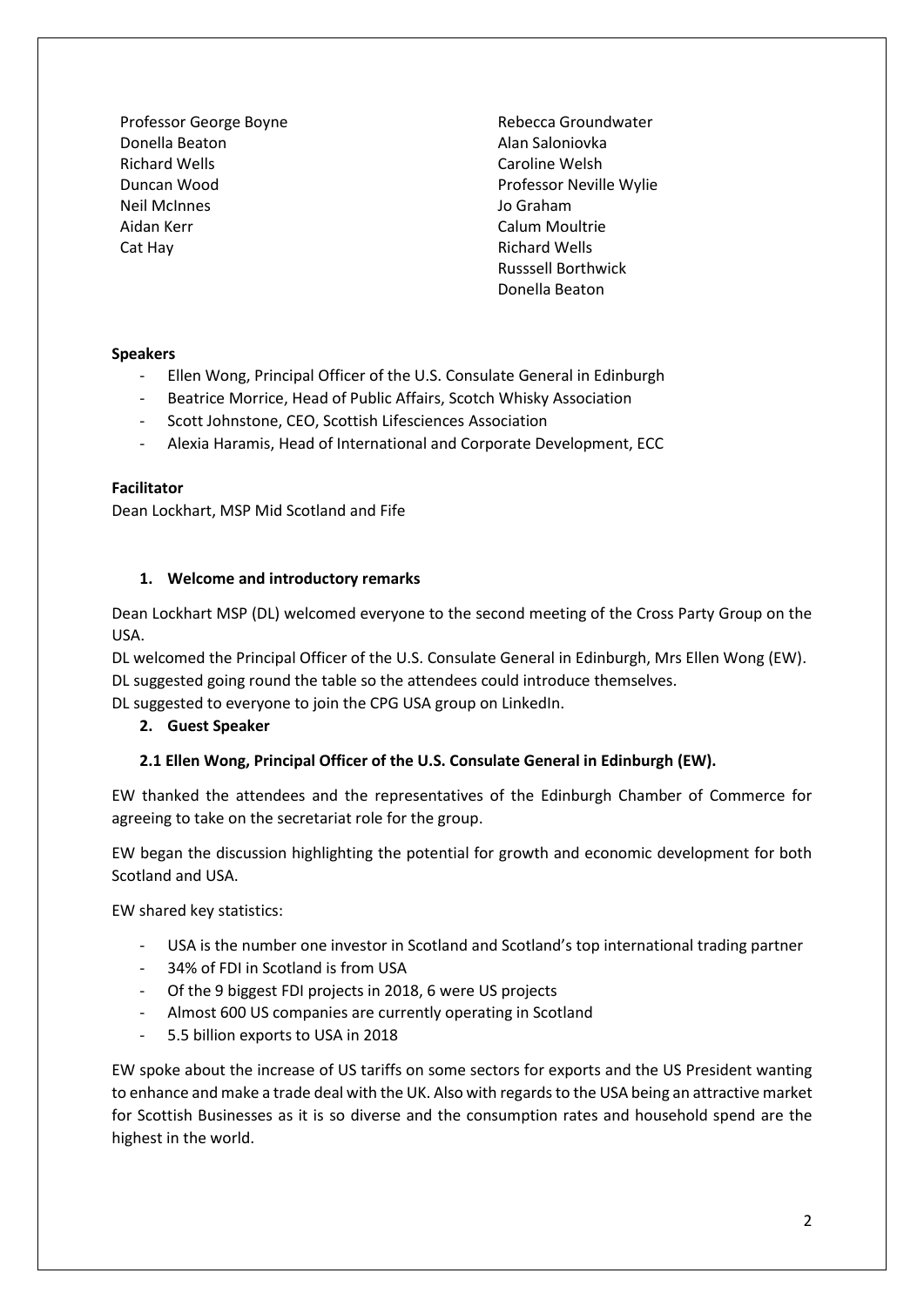Professor George Boyne Donella Beaton Richard Wells Duncan Wood Neil McInnes Aidan Kerr Cat Hay

Rebecca Groundwater Alan Saloniovka Caroline Welsh Professor Neville Wylie Jo Graham Calum Moultrie Richard Wells Russsell Borthwick Donella Beaton

## **Speakers**

- Ellen Wong, Principal Officer of the U.S. Consulate General in Edinburgh
- Beatrice Morrice, Head of Public Affairs, Scotch Whisky Association
- Scott Johnstone, CEO, Scottish Lifesciences Association
- Alexia Haramis, Head of International and Corporate Development, ECC

### **Facilitator**

Dean Lockhart, MSP Mid Scotland and Fife

## **1. Welcome and introductory remarks**

Dean Lockhart MSP (DL) welcomed everyone to the second meeting of the Cross Party Group on the USA.

DL welcomed the Principal Officer of the U.S. Consulate General in Edinburgh, Mrs Ellen Wong (EW). DL suggested going round the table so the attendees could introduce themselves.

DL suggested to everyone to join the CPG USA group on LinkedIn.

## **2. Guest Speaker**

## **2.1 Ellen Wong, Principal Officer of the U.S. Consulate General in Edinburgh (EW).**

EW thanked the attendees and the representatives of the Edinburgh Chamber of Commerce for agreeing to take on the secretariat role for the group.

EW began the discussion highlighting the potential for growth and economic development for both Scotland and USA.

EW shared key statistics:

- USA is the number one investor in Scotland and Scotland's top international trading partner
- 34% of FDI in Scotland is from USA
- Of the 9 biggest FDI projects in 2018, 6 were US projects
- Almost 600 US companies are currently operating in Scotland
- 5.5 billion exports to USA in 2018

EW spoke about the increase of US tariffs on some sectors for exports and the US President wanting to enhance and make a trade deal with the UK. Also with regards to the USA being an attractive market for Scottish Businesses as it is so diverse and the consumption rates and household spend are the highest in the world.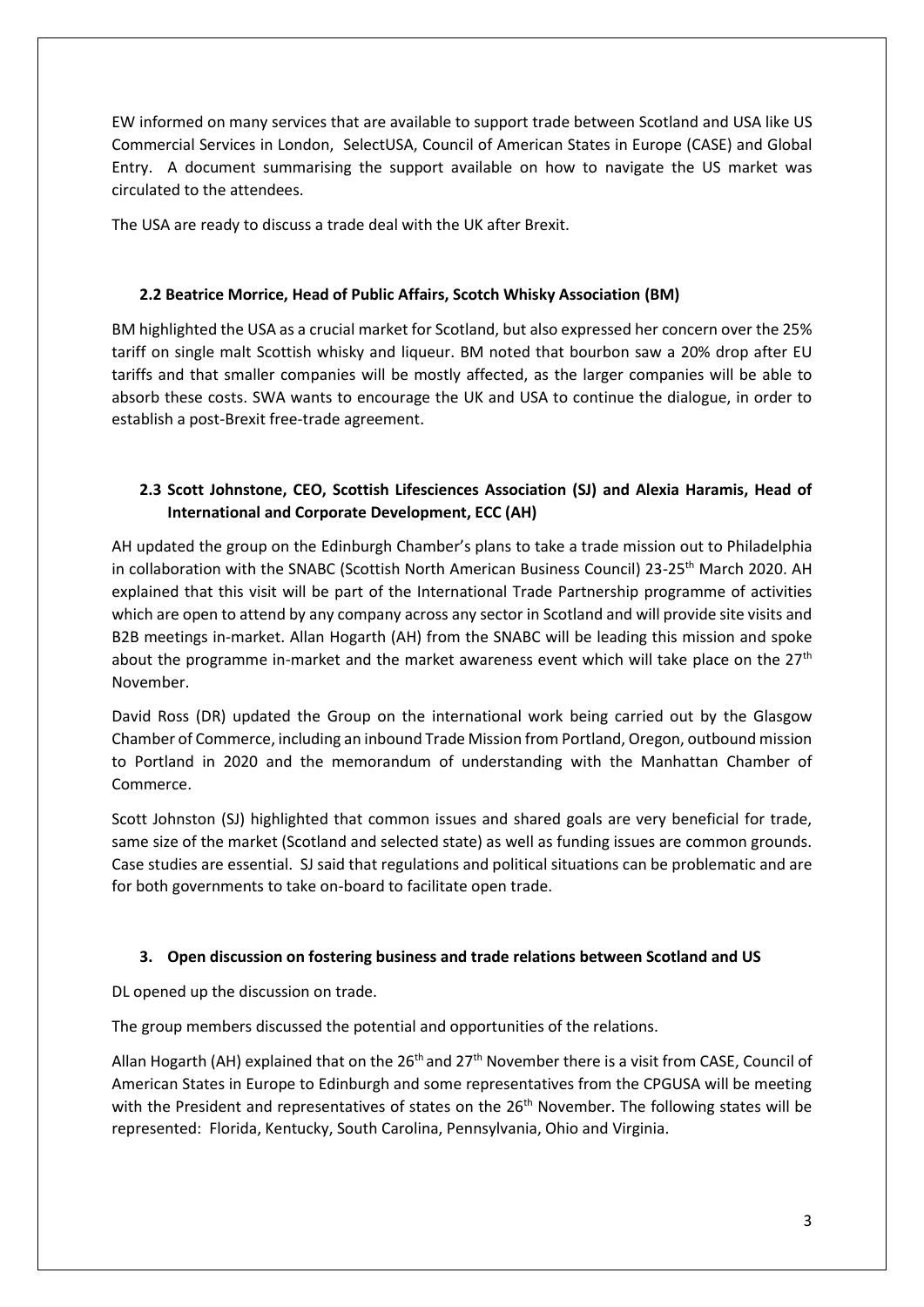EW informed on many services that are available to support trade between Scotland and USA like US Commercial Services in London, SelectUSA, Council of American States in Europe (CASE) and Global Entry. A document summarising the support available on how to navigate the US market was circulated to the attendees.

The USA are ready to discuss a trade deal with the UK after Brexit.

## **2.2 Beatrice Morrice, Head of Public Affairs, Scotch Whisky Association (BM)**

BM highlighted the USA as a crucial market for Scotland, but also expressed her concern over the 25% tariff on single malt Scottish whisky and liqueur. BM noted that bourbon saw a 20% drop after EU tariffs and that smaller companies will be mostly affected, as the larger companies will be able to absorb these costs. SWA wants to encourage the UK and USA to continue the dialogue, in order to establish a post-Brexit free-trade agreement.

# **2.3 Scott Johnstone, CEO, Scottish Lifesciences Association (SJ) and Alexia Haramis, Head of International and Corporate Development, ECC (AH)**

AH updated the group on the Edinburgh Chamber's plans to take a trade mission out to Philadelphia in collaboration with the SNABC (Scottish North American Business Council) 23-25<sup>th</sup> March 2020. AH explained that this visit will be part of the International Trade Partnership programme of activities which are open to attend by any company across any sector in Scotland and will provide site visits and B2B meetings in-market. Allan Hogarth (AH) from the SNABC will be leading this mission and spoke about the programme in-market and the market awareness event which will take place on the  $27<sup>th</sup>$ November.

David Ross (DR) updated the Group on the international work being carried out by the Glasgow Chamber of Commerce, including an inbound Trade Mission from Portland, Oregon, outbound mission to Portland in 2020 and the memorandum of understanding with the Manhattan Chamber of Commerce.

Scott Johnston (SJ) highlighted that common issues and shared goals are very beneficial for trade, same size of the market (Scotland and selected state) as well as funding issues are common grounds. Case studies are essential. SJ said that regulations and political situations can be problematic and are for both governments to take on-board to facilitate open trade.

## **3. Open discussion on fostering business and trade relations between Scotland and US**

DL opened up the discussion on trade.

The group members discussed the potential and opportunities of the relations.

Allan Hogarth (AH) explained that on the 26<sup>th</sup> and 27<sup>th</sup> November there is a visit from CASE, Council of American States in Europe to Edinburgh and some representatives from the CPGUSA will be meeting with the President and representatives of states on the  $26<sup>th</sup>$  November. The following states will be represented: Florida, Kentucky, South Carolina, Pennsylvania, Ohio and Virginia.